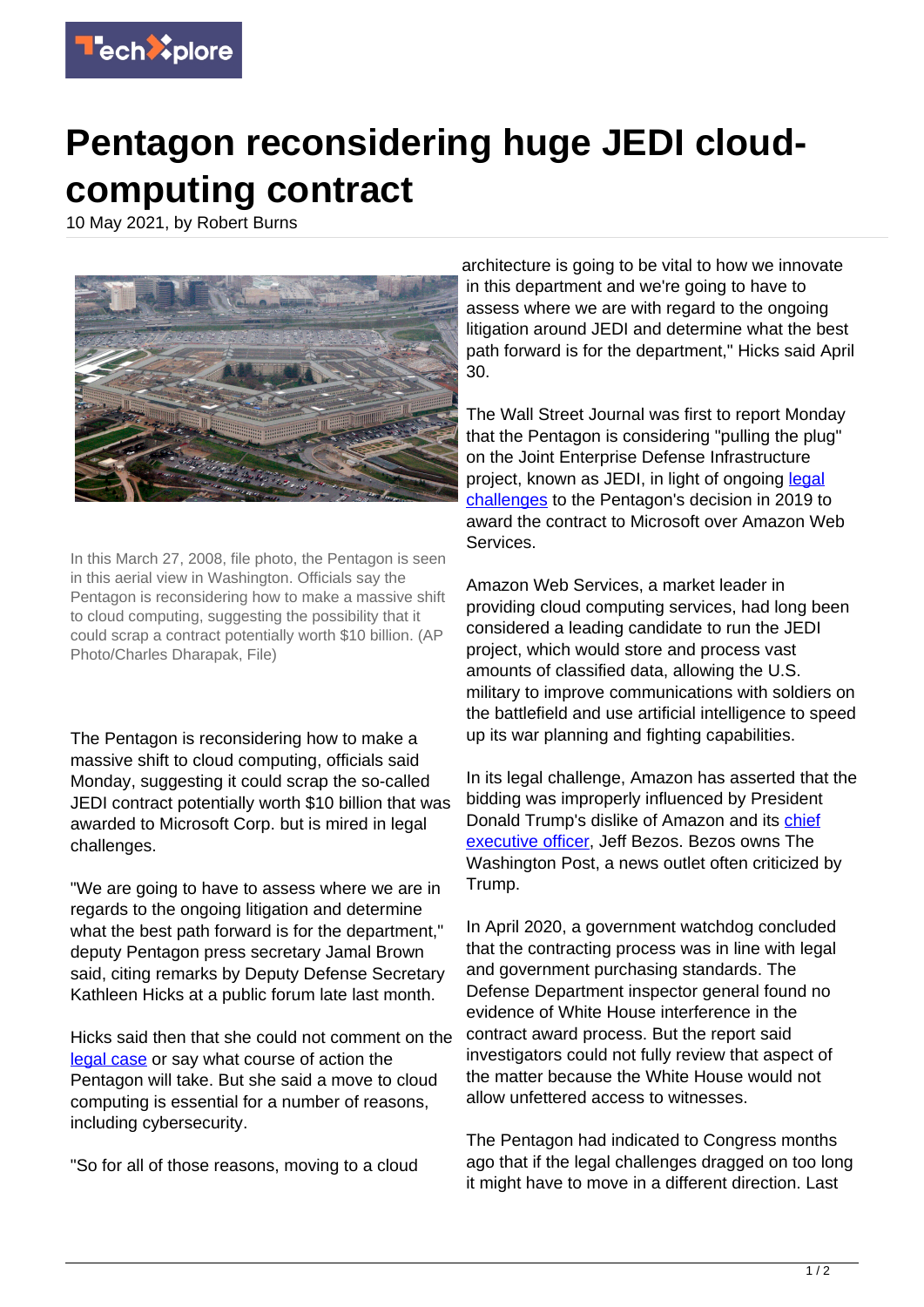

## **Pentagon reconsidering huge JEDI cloudcomputing contract**

10 May 2021, by Robert Burns



In this March 27, 2008, file photo, the Pentagon is seen in this aerial view in Washington. Officials say the Pentagon is reconsidering how to make a massive shift to cloud computing, suggesting the possibility that it could scrap a contract potentially worth \$10 billion. (AP Photo/Charles Dharapak, File)

The Pentagon is reconsidering how to make a massive shift to cloud computing, officials said Monday, suggesting it could scrap the so-called JEDI contract potentially worth \$10 billion that was awarded to Microsoft Corp. but is mired in legal challenges.

"We are going to have to assess where we are in regards to the ongoing litigation and determine what the best path forward is for the department," deputy Pentagon press secretary Jamal Brown said, citing remarks by Deputy Defense Secretary Kathleen Hicks at a public forum late last month.

Hicks said then that she could not comment on the [legal case](https://techxplore.com/tags/legal+case/) or say what course of action the Pentagon will take. But she said a move to cloud computing is essential for a number of reasons, including cybersecurity.

"So for all of those reasons, moving to a cloud

architecture is going to be vital to how we innovate in this department and we're going to have to assess where we are with regard to the ongoing litigation around JEDI and determine what the best path forward is for the department," Hicks said April 30.

The Wall Street Journal was first to report Monday that the Pentagon is considering "pulling the plug" on the Joint Enterprise Defense Infrastructure project, known as JEDI, in light of ongoing [legal](https://techxplore.com/tags/legal+challenges/) [challenges](https://techxplore.com/tags/legal+challenges/) to the Pentagon's decision in 2019 to award the contract to Microsoft over Amazon Web Services.

Amazon Web Services, a market leader in providing cloud computing services, had long been considered a leading candidate to run the JEDI project, which would store and process vast amounts of classified data, allowing the U.S. military to improve communications with soldiers on the battlefield and use artificial intelligence to speed up its war planning and fighting capabilities.

In its legal challenge, Amazon has asserted that the bidding was improperly influenced by President Donald Trump's dislike of Amazon and its [chief](https://techxplore.com/tags/chief+executive+officer/) [executive officer,](https://techxplore.com/tags/chief+executive+officer/) Jeff Bezos. Bezos owns The Washington Post, a news outlet often criticized by Trump.

In April 2020, a government watchdog concluded that the contracting process was in line with legal and government purchasing standards. The Defense Department inspector general found no evidence of White House interference in the contract award process. But the report said investigators could not fully review that aspect of the matter because the White House would not allow unfettered access to witnesses.

The Pentagon had indicated to Congress months ago that if the legal challenges dragged on too long it might have to move in a different direction. Last